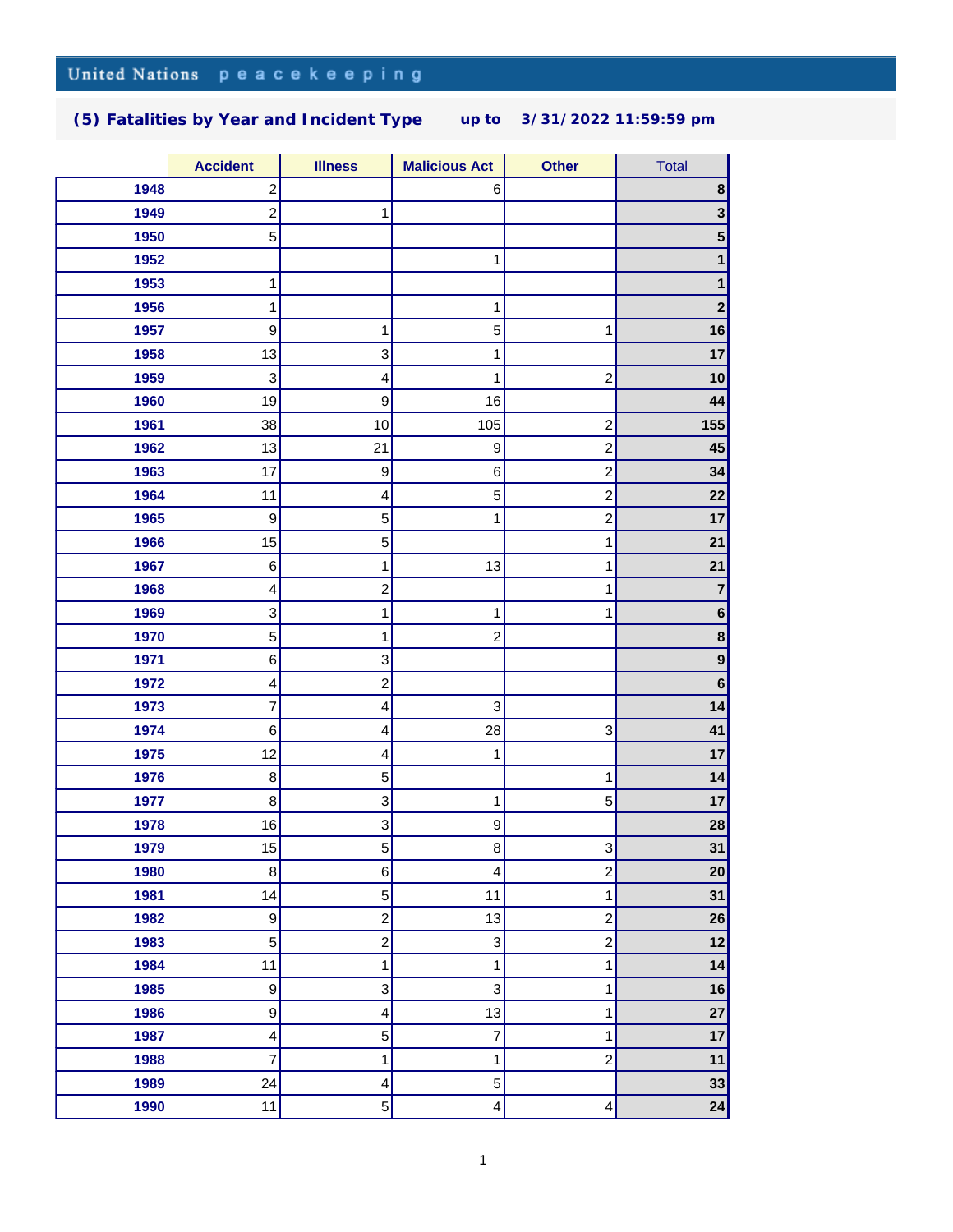## United Nations peacekeeping

## **(5) Fatalities by Year and Incident Type up to 3/31/2022 11:59:59 pm**

|      | <b>Accident</b>  | <b>Illness</b>          | <b>Malicious Act</b> | <b>Other</b>            | Total                   |
|------|------------------|-------------------------|----------------------|-------------------------|-------------------------|
| 1948 | 2                |                         | 6                    |                         | 8                       |
| 1949 | 2                | 1                       |                      |                         | $\mathbf{3}$            |
| 1950 | 5                |                         |                      |                         | $\overline{\mathbf{5}}$ |
| 1952 |                  |                         | 1                    |                         | 1                       |
| 1953 | $\mathbf{1}$     |                         |                      |                         | 1                       |
| 1956 | 1                |                         | 1                    |                         | $\mathbf{2}$            |
| 1957 | 9                | 1                       | 5                    | 1                       | 16                      |
| 1958 | 13               | 3                       | 1                    |                         | 17                      |
| 1959 | 3                | 4                       | 1                    | $\overline{\mathbf{c}}$ | 10                      |
| 1960 | 19               | $\boldsymbol{9}$        | 16                   |                         | 44                      |
| 1961 | 38               | 10                      | 105                  | $\overline{c}$          | 155                     |
| 1962 | 13               | 21                      | 9                    | $\overline{\mathbf{c}}$ | 45                      |
| 1963 | 17               | 9                       | 6                    | $\overline{c}$          | 34                      |
| 1964 | 11               | 4                       | 5                    | $\overline{\mathbf{c}}$ | 22                      |
| 1965 | $\boldsymbol{9}$ | $\mathbf 5$             | 1                    | $\overline{c}$          | 17                      |
| 1966 | 15               | 5                       |                      | 1                       | 21                      |
| 1967 | $\,6$            | $\mathbf 1$             | 13                   | 1                       | 21                      |
| 1968 | 4                | $\overline{c}$          |                      | 1                       | $\overline{7}$          |
| 1969 | 3                | $\mathbf{1}$            | 1                    | 1                       | $\bf 6$                 |
| 1970 | 5                | 1                       | $\overline{2}$       |                         | $\bf8$                  |
| 1971 | 6                | 3                       |                      |                         | $\boldsymbol{9}$        |
| 1972 | 4                | $\boldsymbol{2}$        |                      |                         | $\bf 6$                 |
| 1973 | 7                | 4                       | 3                    |                         | 14                      |
| 1974 | $\,6$            | 4                       | 28                   | 3                       | 41                      |
| 1975 | 12               | 4                       | 1                    |                         | 17                      |
| 1976 | 8                | 5                       |                      | 1                       | 14                      |
| 1977 | 8                | 3                       | 1                    | 5                       | 17                      |
| 1978 | 16               | 3                       | $\boldsymbol{9}$     |                         | 28                      |
| 1979 | 15               | 5                       | 8                    | 3                       | 31                      |
| 1980 | 8                | 6                       | $\overline{4}$       | $\overline{c}$          | 20                      |
| 1981 | 14               | 5                       | 11                   | 1                       | 31                      |
| 1982 | 9                | $\overline{c}$          | 13                   | $\overline{c}$          | 26                      |
| 1983 | 5                | $\overline{c}$          | 3                    | $\overline{a}$          | 12                      |
| 1984 | 11               | 1                       | 1                    | 1                       | 14                      |
| 1985 | $\boldsymbol{9}$ | 3                       | 3                    | 1                       | 16                      |
| 1986 | 9                | 4                       | 13                   | 1                       | 27                      |
| 1987 | 4                | $\mathbf 5$             | 7                    | 1                       | 17                      |
| 1988 | 7                | $\mathbf 1$             | 1                    | $\overline{c}$          | 11                      |
| 1989 | 24               | $\overline{\mathbf{4}}$ | 5                    |                         | 33                      |
| 1990 | 11               | 5                       | 4                    | 4                       | 24                      |